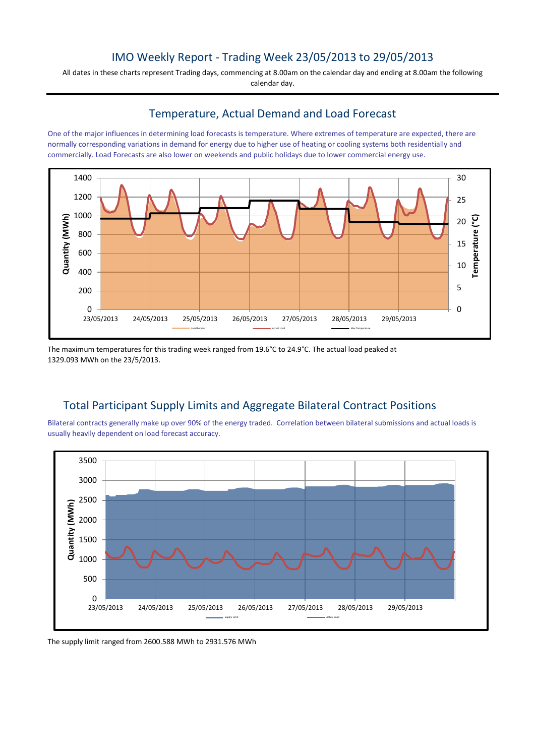## IMO Weekly Report - Trading Week 23/05/2013 to 29/05/2013

All dates in these charts represent Trading days, commencing at 8.00am on the calendar day and ending at 8.00am the following calendar day.

#### Temperature, Actual Demand and Load Forecast

One of the major influences in determining load forecasts is temperature. Where extremes of temperature are expected, there are normally corresponding variations in demand for energy due to higher use of heating or cooling systems both residentially and commercially. Load Forecasts are also lower on weekends and public holidays due to lower commercial energy use.



The maximum temperatures for this trading week ranged from 19.6°C to 24.9°C. The actual load peaked at 1329.093 MWh on the 23/5/2013.

# Total Participant Supply Limits and Aggregate Bilateral Contract Positions

Bilateral contracts generally make up over 90% of the energy traded. Correlation between bilateral submissions and actual loads is usually heavily dependent on load forecast accuracy.



The supply limit ranged from 2600.588 MWh to 2931.576 MWh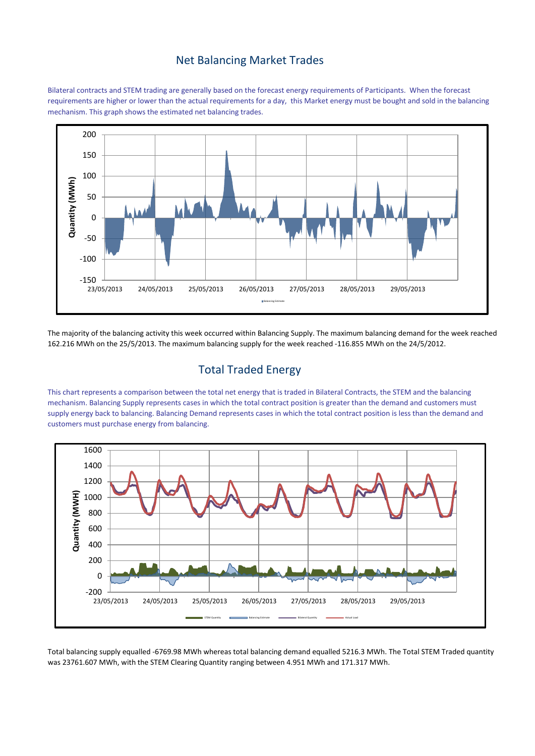#### Net Balancing Market Trades

Bilateral contracts and STEM trading are generally based on the forecast energy requirements of Participants. When the forecast requirements are higher or lower than the actual requirements for a day, this Market energy must be bought and sold in the balancing mechanism. This graph shows the estimated net balancing trades.



The majority of the balancing activity this week occurred within Balancing Supply. The maximum balancing demand for the week reached 162.216 MWh on the 25/5/2013. The maximum balancing supply for the week reached -116.855 MWh on the 24/5/2012.

### Total Traded Energy

This chart represents a comparison between the total net energy that is traded in Bilateral Contracts, the STEM and the balancing mechanism. Balancing Supply represents cases in which the total contract position is greater than the demand and customers must supply energy back to balancing. Balancing Demand represents cases in which the total contract position is less than the demand and customers must purchase energy from balancing.



Total balancing supply equalled -6769.98 MWh whereas total balancing demand equalled 5216.3 MWh. The Total STEM Traded quantity was 23761.607 MWh, with the STEM Clearing Quantity ranging between 4.951 MWh and 171.317 MWh.